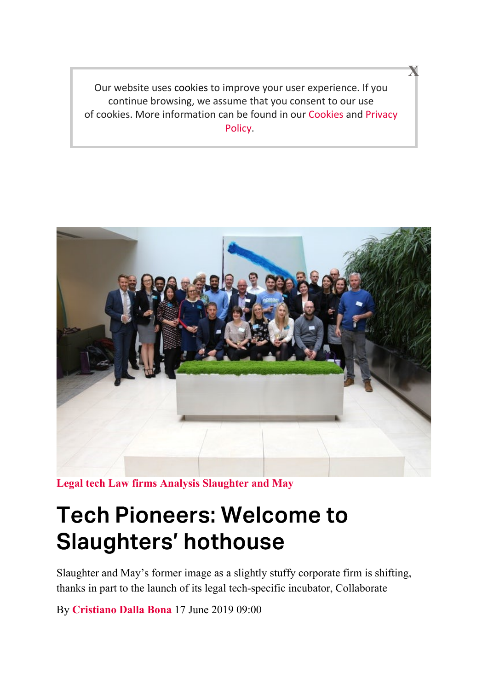Our website uses cookies to improve your user experience. If you continue browsing, we assume that you consent to our use of cookies. More information can be found in our Cookies and Privacy Policy.

X



Legal tech Law firms Analysis Slaughter and May

# Tech Pioneers: Welcome to Slaughters' hothouse

Slaughter and May's former image as a slightly stuffy corporate firm is shifting, thanks in part to the launch of its legal tech-specific incubator, Collaborate

By Cristiano Dalla Bona 17 June 2019 09:00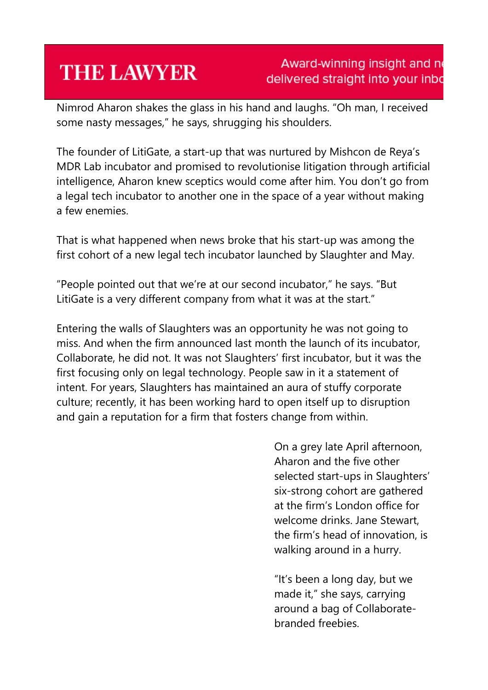## **THE LAWYER**

#### Award-winning insight and no delivered straight into your inbo

Nimrod Aharon shakes the glass in his hand and laughs. "Oh man, I received some nasty messages," he says, shrugging his shoulders.

The founder of LitiGate, a start-up that was nurtured by Mishcon de Reya's MDR Lab incubator and promised to revolutionise litigation through artificial intelligence, Aharon knew sceptics would come after him. You don't go from a legal tech incubator to another one in the space of a year without making a few enemies.

That is what happened when news broke that his start-up was among the first cohort of a new legal tech incubator launched by Slaughter and May.

"People pointed out that we're at our second incubator," he says. "But LitiGate is a very different company from what it was at the start."

Entering the walls of Slaughters was an opportunity he was not going to miss. And when the firm announced last month the launch of its incubator, Collaborate, he did not. It was not Slaughters' first incubator, but it was the first focusing only on legal technology. People saw in it a statement of intent. For years, Slaughters has maintained an aura of stuffy corporate culture; recently, it has been working hard to open itself up to disruption and gain a reputation for a firm that fosters change from within.

> On a grey late April afternoon, Aharon and the five other selected start-ups in Slaughters' six-strong cohort are gathered at the firm's London office for welcome drinks. Jane Stewart, the firm's head of innovation, is walking around in a hurry.

"It's been a long day, but we made it," she says, carrying around a bag of Collaboratebranded freebies.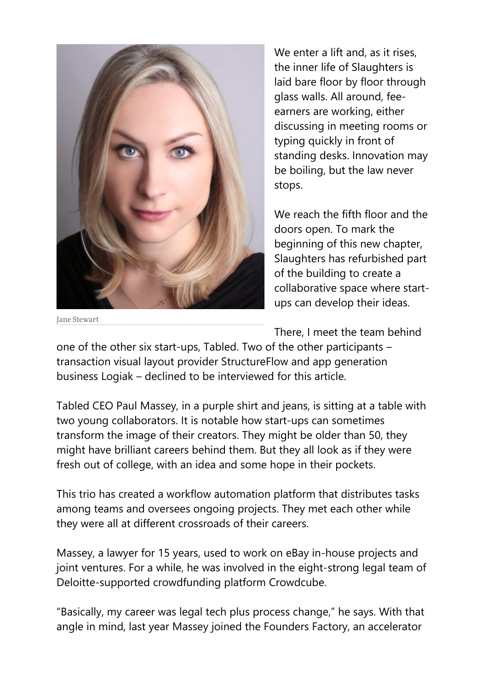

We enter a lift and, as it rises, the inner life of Slaughters is laid bare floor by floor through glass walls. All around, feeearners are working, either discussing in meeting rooms or typing quickly in front of standing desks. Innovation may be boiling, but the law never stops.

We reach the fifth floor and the doors open. To mark the beginning of this new chapter, Slaughters has refurbished part of the building to create a collaborative space where startups can develop their ideas.

Jane Stewart

There, I meet the team behind

one of the other six start-ups, Tabled. Two of the other participants – transaction visual layout provider StructureFlow and app generation business Logiak – declined to be interviewed for this article.

Tabled CEO Paul Massey, in a purple shirt and jeans, is sitting at a table with two young collaborators. It is notable how start-ups can sometimes transform the image of their creators. They might be older than 50, they might have brilliant careers behind them. But they all look as if they were fresh out of college, with an idea and some hope in their pockets.

This trio has created a workflow automation platform that distributes tasks among teams and oversees ongoing projects. They met each other while they were all at different crossroads of their careers.

Massey, a lawyer for 15 years, used to work on eBay in-house projects and joint ventures. For a while, he was involved in the eight-strong legal team of Deloitte-supported crowdfunding platform Crowdcube.

"Basically, my career was legal tech plus process change," he says. With that angle in mind, last year Massey joined the Founders Factory, an accelerator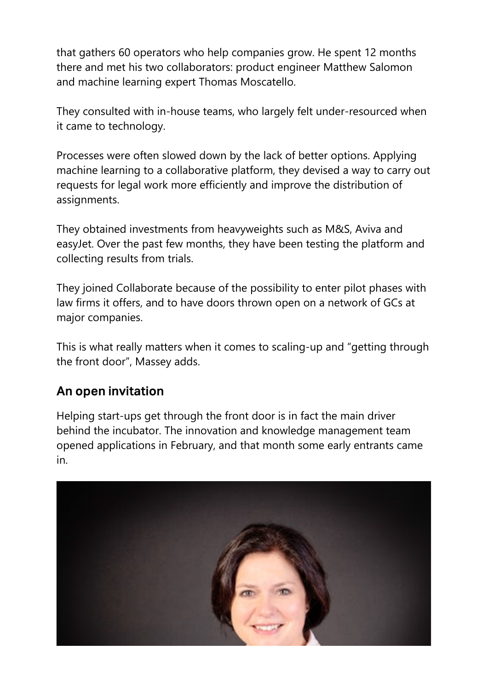that gathers 60 operators who help companies grow. He spent 12 months there and met his two collaborators: product engineer Matthew Salomon and machine learning expert Thomas Moscatello.

They consulted with in-house teams, who largely felt under-resourced when it came to technology.

Processes were often slowed down by the lack of better options. Applying machine learning to a collaborative platform, they devised a way to carry out requests for legal work more efficiently and improve the distribution of assignments.

They obtained investments from heavyweights such as M&S, Aviva and easyJet. Over the past few months, they have been testing the platform and collecting results from trials.

They joined Collaborate because of the possibility to enter pilot phases with law firms it offers, and to have doors thrown open on a network of GCs at major companies.

This is what really matters when it comes to scaling-up and "getting through the front door", Massey adds.

### An open invitation

Helping start-ups get through the front door is in fact the main driver behind the incubator. The innovation and knowledge management team opened applications in February, and that month some early entrants came in.

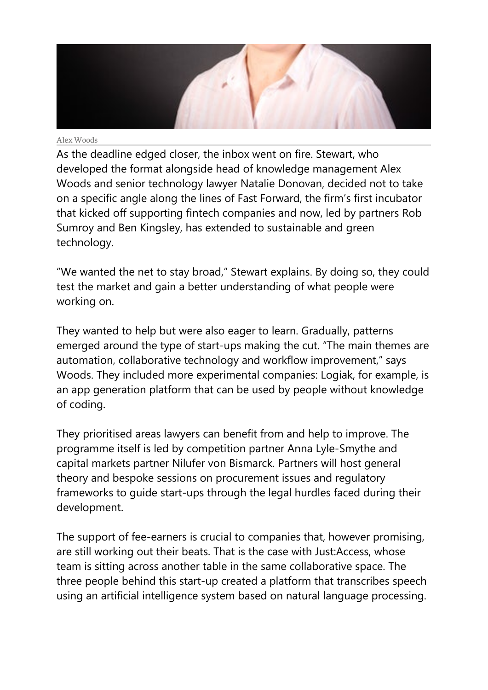

#### Alex Woods

As the deadline edged closer, the inbox went on fire. Stewart, who developed the format alongside head of knowledge management Alex Woods and senior technology lawyer Natalie Donovan, decided not to take on a specific angle along the lines of Fast Forward, the firm's first incubator that kicked off supporting fintech companies and now, led by partners Rob Sumroy and Ben Kingsley, has extended to sustainable and green technology.

"We wanted the net to stay broad," Stewart explains. By doing so, they could test the market and gain a better understanding of what people were working on.

They wanted to help but were also eager to learn. Gradually, patterns emerged around the type of start-ups making the cut. "The main themes are automation, collaborative technology and workflow improvement," says Woods. They included more experimental companies: Logiak, for example, is an app generation platform that can be used by people without knowledge of coding.

They prioritised areas lawyers can benefit from and help to improve. The programme itself is led by competition partner Anna Lyle-Smythe and capital markets partner Nilufer von Bismarck. Partners will host general theory and bespoke sessions on procurement issues and regulatory frameworks to guide start-ups through the legal hurdles faced during their development.

The support of fee-earners is crucial to companies that, however promising, are still working out their beats. That is the case with Just:Access, whose team is sitting across another table in the same collaborative space. The three people behind this start-up created a platform that transcribes speech using an artificial intelligence system based on natural language processing.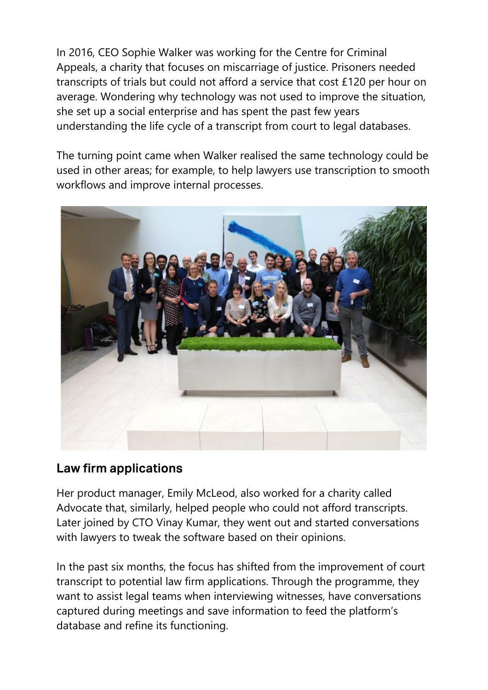In 2016, CEO Sophie Walker was working for the Centre for Criminal Appeals, a charity that focuses on miscarriage of justice. Prisoners needed transcripts of trials but could not afford a service that cost £120 per hour on average. Wondering why technology was not used to improve the situation, she set up a social enterprise and has spent the past few years understanding the life cycle of a transcript from court to legal databases.

The turning point came when Walker realised the same technology could be used in other areas; for example, to help lawyers use transcription to smooth workflows and improve internal processes.



#### Law firm applications

Her product manager, Emily McLeod, also worked for a charity called Advocate that, similarly, helped people who could not afford transcripts. Later joined by CTO Vinay Kumar, they went out and started conversations with lawyers to tweak the software based on their opinions.

In the past six months, the focus has shifted from the improvement of court transcript to potential law firm applications. Through the programme, they want to assist legal teams when interviewing witnesses, have conversations captured during meetings and save information to feed the platform's database and refine its functioning.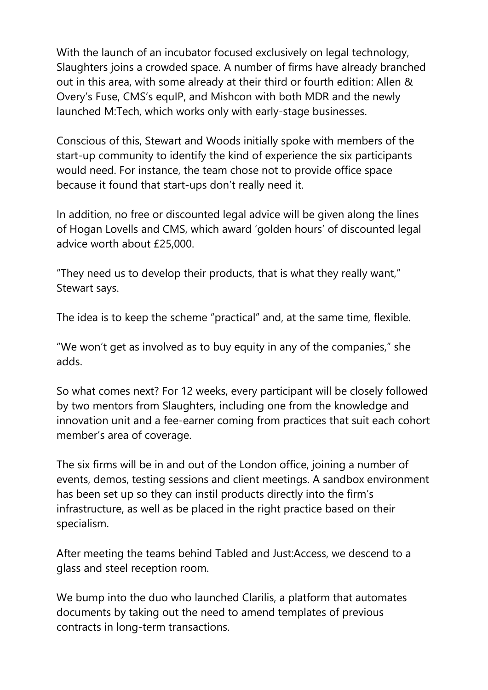With the launch of an incubator focused exclusively on legal technology, Slaughters joins a crowded space. A number of firms have already branched out in this area, with some already at their third or fourth edition: Allen & Overy's Fuse, CMS's equIP, and Mishcon with both MDR and the newly launched M:Tech, which works only with early-stage businesses.

Conscious of this, Stewart and Woods initially spoke with members of the start-up community to identify the kind of experience the six participants would need. For instance, the team chose not to provide office space because it found that start-ups don't really need it.

In addition, no free or discounted legal advice will be given along the lines of Hogan Lovells and CMS, which award 'golden hours' of discounted legal advice worth about £25,000.

"They need us to develop their products, that is what they really want," Stewart says.

The idea is to keep the scheme "practical" and, at the same time, flexible.

"We won't get as involved as to buy equity in any of the companies," she adds.

So what comes next? For 12 weeks, every participant will be closely followed by two mentors from Slaughters, including one from the knowledge and innovation unit and a fee-earner coming from practices that suit each cohort member's area of coverage.

The six firms will be in and out of the London office, joining a number of events, demos, testing sessions and client meetings. A sandbox environment has been set up so they can instil products directly into the firm's infrastructure, as well as be placed in the right practice based on their specialism.

After meeting the teams behind Tabled and Just:Access, we descend to a glass and steel reception room.

We bump into the duo who launched Clarilis, a platform that automates documents by taking out the need to amend templates of previous contracts in long-term transactions.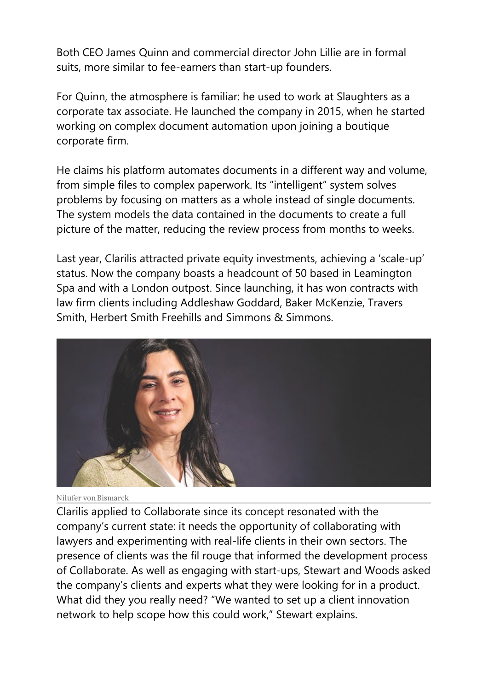Both CEO James Quinn and commercial director John Lillie are in formal suits, more similar to fee-earners than start-up founders.

For Quinn, the atmosphere is familiar: he used to work at Slaughters as a corporate tax associate. He launched the company in 2015, when he started working on complex document automation upon joining a boutique corporate firm.

He claims his platform automates documents in a different way and volume, from simple files to complex paperwork. Its "intelligent" system solves problems by focusing on matters as a whole instead of single documents. The system models the data contained in the documents to create a full picture of the matter, reducing the review process from months to weeks.

Last year, Clarilis attracted private equity investments, achieving a 'scale-up' status. Now the company boasts a headcount of 50 based in Leamington Spa and with a London outpost. Since launching, it has won contracts with law firm clients including Addleshaw Goddard, Baker McKenzie, Travers Smith, Herbert Smith Freehills and Simmons & Simmons.



Nilufer von Bismarck

Clarilis applied to Collaborate since its concept resonated with the company's current state: it needs the opportunity of collaborating with lawyers and experimenting with real-life clients in their own sectors. The presence of clients was the fil rouge that informed the development process of Collaborate. As well as engaging with start-ups, Stewart and Woods asked the company's clients and experts what they were looking for in a product. What did they you really need? "We wanted to set up a client innovation network to help scope how this could work," Stewart explains.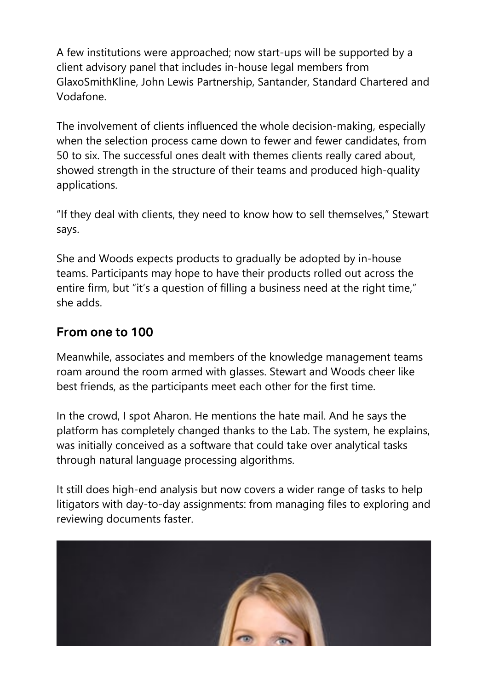A few institutions were approached; now start-ups will be supported by a client advisory panel that includes in-house legal members from GlaxoSmithKline, John Lewis Partnership, Santander, Standard Chartered and Vodafone.

The involvement of clients influenced the whole decision-making, especially when the selection process came down to fewer and fewer candidates, from 50 to six. The successful ones dealt with themes clients really cared about, showed strength in the structure of their teams and produced high-quality applications.

"If they deal with clients, they need to know how to sell themselves," Stewart says.

She and Woods expects products to gradually be adopted by in-house teams. Participants may hope to have their products rolled out across the entire firm, but "it's a question of filling a business need at the right time," she adds.

### From one to 100

Meanwhile, associates and members of the knowledge management teams roam around the room armed with glasses. Stewart and Woods cheer like best friends, as the participants meet each other for the first time.

In the crowd, I spot Aharon. He mentions the hate mail. And he says the platform has completely changed thanks to the Lab. The system, he explains, was initially conceived as a software that could take over analytical tasks through natural language processing algorithms.

It still does high-end analysis but now covers a wider range of tasks to help litigators with day-to-day assignments: from managing files to exploring and reviewing documents faster.

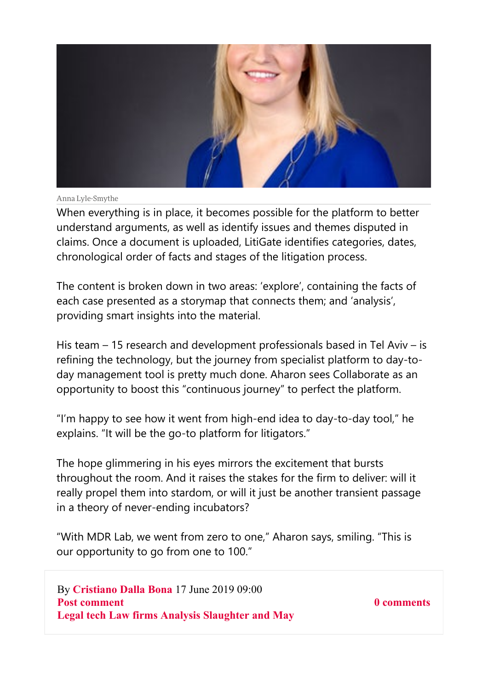

Anna Lyle-Smythe

When everything is in place, it becomes possible for the platform to better understand arguments, as well as identify issues and themes disputed in claims. Once a document is uploaded, LitiGate identifies categories, dates, chronological order of facts and stages of the litigation process.

The content is broken down in two areas: 'explore', containing the facts of each case presented as a storymap that connects them; and 'analysis', providing smart insights into the material.

His team – 15 research and development professionals based in Tel Aviv – is refining the technology, but the journey from specialist platform to day-today management tool is pretty much done. Aharon sees Collaborate as an opportunity to boost this "continuous journey" to perfect the platform.

"I'm happy to see how it went from high-end idea to day-to-day tool," he explains. "It will be the go-to platform for litigators."

The hope glimmering in his eyes mirrors the excitement that bursts throughout the room. And it raises the stakes for the firm to deliver: will it really propel them into stardom, or will it just be another transient passage in a theory of never-ending incubators?

"With MDR Lab, we went from zero to one," Aharon says, smiling. "This is our opportunity to go from one to 100."

By Cristiano Dalla Bona 17 June 2019 09:00 Post comment Legal tech Law firms Analysis Slaughter and May

0 comments